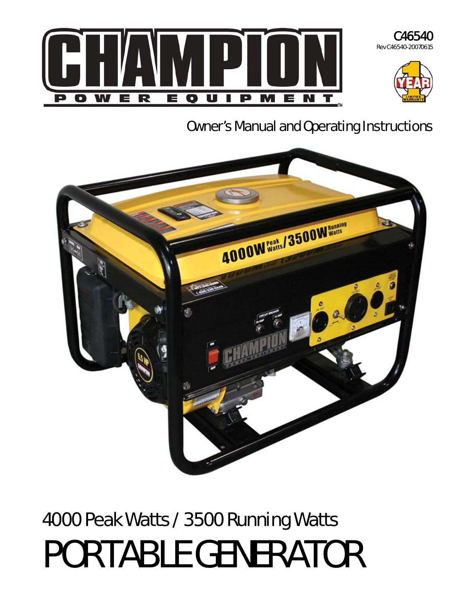



# Owner's Manual and Operating Instructions



# 4000 Peak Watts / 3500 Running Watts PORTABLE GENERATOR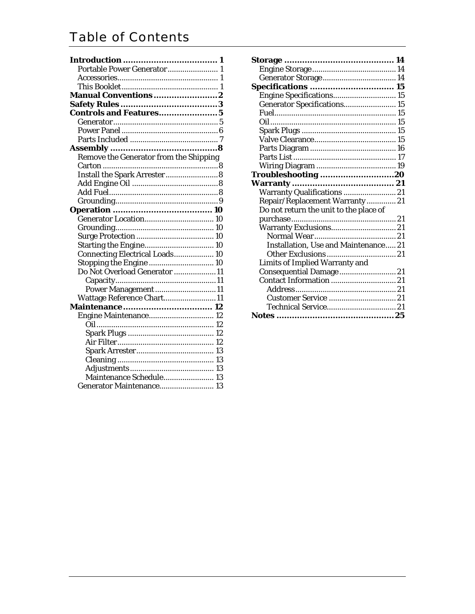# Table of Contents

| Portable Power Generator 1             |
|----------------------------------------|
|                                        |
| 1                                      |
| Manual Conventions2                    |
|                                        |
| <b>Controls and Features5</b>          |
|                                        |
|                                        |
|                                        |
|                                        |
| Remove the Generator from the Shipping |
|                                        |
| Install the Spark Arrester 8           |
|                                        |
|                                        |
|                                        |
|                                        |
| .<br>Generator Location 10             |
|                                        |
|                                        |
| Starting the Engine 10                 |
| Connecting Electrical Loads 10         |
| Stopping the Engine  10                |
| Do Not Overload Generator 11           |
|                                        |
| Power Management 11                    |
| Wattage Reference Chart11              |
|                                        |
| Engine Maintenance 12                  |
|                                        |
|                                        |
|                                        |
|                                        |
|                                        |
|                                        |
| Maintenance Schedule 13                |
| Generator Maintenance 13               |
|                                        |

| <b>Specifications  15</b>              |  |
|----------------------------------------|--|
| Engine Specifications 15               |  |
| Generator Specifications 15            |  |
|                                        |  |
|                                        |  |
|                                        |  |
|                                        |  |
|                                        |  |
|                                        |  |
|                                        |  |
| Troubleshooting 20                     |  |
|                                        |  |
| Warranty Qualifications  21            |  |
| Repair/Replacement Warranty 21         |  |
| Do not return the unit to the place of |  |
|                                        |  |
|                                        |  |
|                                        |  |
| Installation, Use and Maintenance 21   |  |
|                                        |  |
| <b>Limits of Implied Warranty and</b>  |  |
| Consequential Damage  21               |  |
| Contact Information  21                |  |
|                                        |  |
|                                        |  |
|                                        |  |
|                                        |  |
|                                        |  |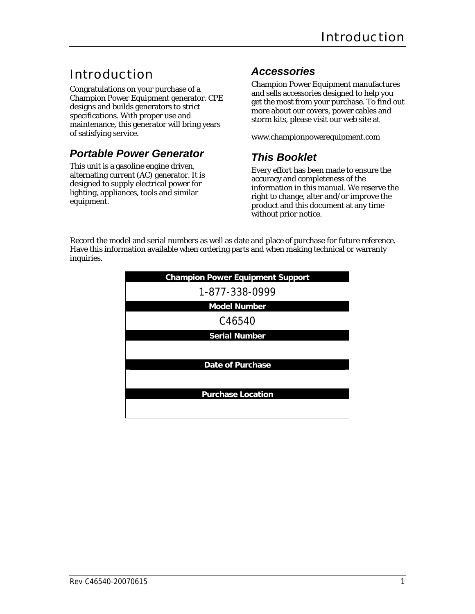# Introduction

Congratulations on your purchase of a Champion Power Equipment generator. CPE designs and builds generators to strict specifications. With proper use and maintenance, this generator will bring years of satisfying service.

# *Portable Power Generator*

This unit is a gasoline engine driven, alternating current (AC) generator. It is designed to supply electrical power for lighting, appliances, tools and similar equipment.

# *Accessories*

Champion Power Equipment manufactures and sells accessories designed to help you get the most from your purchase. To find out more about our covers, power cables and storm kits, please visit our web site at

www.championpowerequipment.com

# *This Booklet*

Every effort has been made to ensure the accuracy and completeness of the information in this manual. We reserve the right to change, alter and/or improve the product and this document at any time without prior notice.

Record the model and serial numbers as well as date and place of purchase for future reference. Have this information available when ordering parts and when making technical or warranty inquiries.

| <b>Champion Power Equipment Support</b> |
|-----------------------------------------|
| 1-877-338-0999                          |
| <b>Model Number</b>                     |
| C46540                                  |
| <b>Serial Number</b>                    |
|                                         |
| <b>Date of Purchase</b>                 |
|                                         |
| <b>Purchase Location</b>                |
|                                         |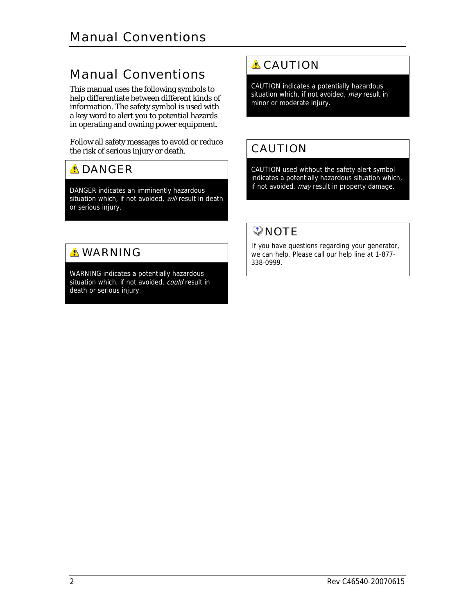# Manual Conventions

This manual uses the following symbols to help differentiate between different kinds of information. The safety symbol is used with a key word to alert you to potential hazards in operating and owning power equipment.

Follow all safety messages to avoid or reduce the risk of serious injury or death.

# **ADANGER**

DANGER indicates an imminently hazardous situation which, if not avoided, will result in death or serious injury.

# **A WARNING**

WARNING indicates a potentially hazardous situation which, if not avoided, could result in death or serious injury.

# **A** CAUTION

CAUTION indicates a potentially hazardous situation which, if not avoided, may result in minor or moderate injury.

# CAUTION

CAUTION used without the safety alert symbol indicates a potentially hazardous situation which, if not avoided, may result in property damage.

# **ONOTE**

If you have questions regarding your generator, we can help. Please call our help line at 1-877- 338-0999.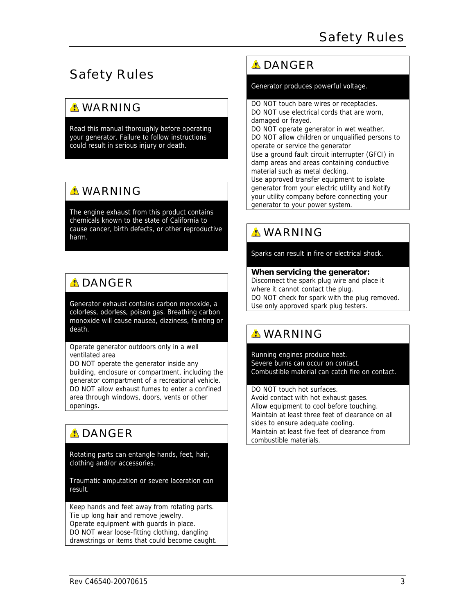# Safety Rules

# **A WARNING**

Read this manual thoroughly before operating your generator. Failure to follow instructions could result in serious injury or death.

# **A WARNING**

The engine exhaust from this product contains chemicals known to the state of California to cause cancer, birth defects, or other reproductive harm.

# **ADANGER**

Generator exhaust contains carbon monoxide, a colorless, odorless, poison gas. Breathing carbon monoxide will cause nausea, dizziness, fainting or death.

#### Operate generator outdoors only in a well ventilated area

DO NOT operate the generator inside any building, enclosure or compartment, including the generator compartment of a recreational vehicle. DO NOT allow exhaust fumes to enter a confined area through windows, doors, vents or other openings.

# **ADANGER**

Rotating parts can entangle hands, feet, hair, clothing and/or accessories.

Traumatic amputation or severe laceration can result.

Keep hands and feet away from rotating parts. Tie up long hair and remove jewelry. Operate equipment with guards in place. DO NOT wear loose-fitting clothing, dangling drawstrings or items that could become caught.

# **A DANGER**

Generator produces powerful voltage.

DO NOT touch bare wires or receptacles. DO NOT use electrical cords that are worn, damaged or frayed. DO NOT operate generator in wet weather. DO NOT allow children or unqualified persons to operate or service the generator Use a ground fault circuit interrupter (GFCI) in damp areas and areas containing conductive material such as metal decking. Use approved transfer equipment to isolate generator from your electric utility and Notify your utility company before connecting your generator to your power system.

# **A WARNING**

Sparks can result in fire or electrical shock.

#### **When servicing the generator:**

Disconnect the spark plug wire and place it where it cannot contact the plug. DO NOT check for spark with the plug removed. Use only approved spark plug testers.

# **A WARNING**

Running engines produce heat. Severe burns can occur on contact. Combustible material can catch fire on contact.

#### DO NOT touch hot surfaces.

Avoid contact with hot exhaust gases. Allow equipment to cool before touching. Maintain at least three feet of clearance on all sides to ensure adequate cooling. Maintain at least five feet of clearance from combustible materials.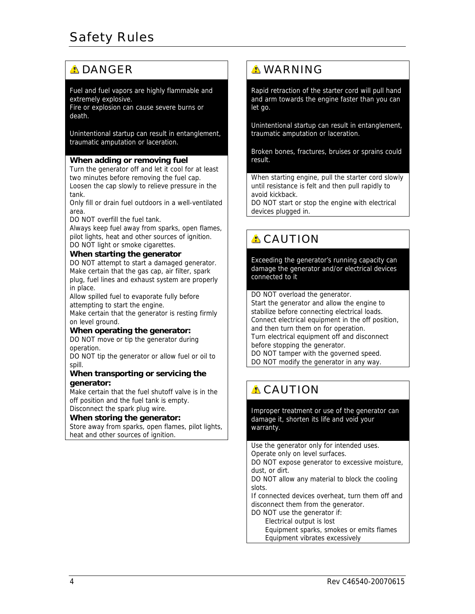# **A DANGER**

#### Fuel and fuel vapors are highly flammable and extremely explosive.

Fire or explosion can cause severe burns or death.

Unintentional startup can result in entanglement, traumatic amputation or laceration.

#### **When adding or removing fuel**

Turn the generator off and let it cool for at least two minutes before removing the fuel cap. Loosen the cap slowly to relieve pressure in the tank.

Only fill or drain fuel outdoors in a well-ventilated area.

DO NOT overfill the fuel tank.

Always keep fuel away from sparks, open flames, pilot lights, heat and other sources of ignition. DO NOT light or smoke cigarettes.

#### **When starting the generator**

DO NOT attempt to start a damaged generator. Make certain that the gas cap, air filter, spark plug, fuel lines and exhaust system are properly in place.

Allow spilled fuel to evaporate fully before attempting to start the engine.

Make certain that the generator is resting firmly on level ground.

#### **When operating the generator:**

DO NOT move or tip the generator during operation.

DO NOT tip the generator or allow fuel or oil to spill.

#### **When transporting or servicing the generator:**

Make certain that the fuel shutoff valve is in the off position and the fuel tank is empty. Disconnect the spark plug wire.

### **When storing the generator:**

Store away from sparks, open flames, pilot lights, heat and other sources of ignition.

### **A WARNING**

Rapid retraction of the starter cord will pull hand and arm towards the engine faster than you can let go.

Unintentional startup can result in entanglement, traumatic amputation or laceration.

Broken bones, fractures, bruises or sprains could result.

When starting engine, pull the starter cord slowly until resistance is felt and then pull rapidly to avoid kickback.

DO NOT start or stop the engine with electrical devices plugged in.

# **A** CAUTION

Exceeding the generator's running capacity can damage the generator and/or electrical devices connected to it

DO NOT overload the generator.

Start the generator and allow the engine to stabilize before connecting electrical loads. Connect electrical equipment in the off position, and then turn them on for operation. Turn electrical equipment off and disconnect before stopping the generator.

DO NOT tamper with the governed speed.

DO NOT modify the generator in any way.

# **A** CAUTION

Improper treatment or use of the generator can damage it, shorten its life and void your warranty.

Use the generator only for intended uses. Operate only on level surfaces.

DO NOT expose generator to excessive moisture, dust, or dirt.

DO NOT allow any material to block the cooling slots.

If connected devices overheat, turn them off and disconnect them from the generator.

DO NOT use the generator if:

Electrical output is lost

 Equipment sparks, smokes or emits flames Equipment vibrates excessively

4 **Rev C46540-20070615**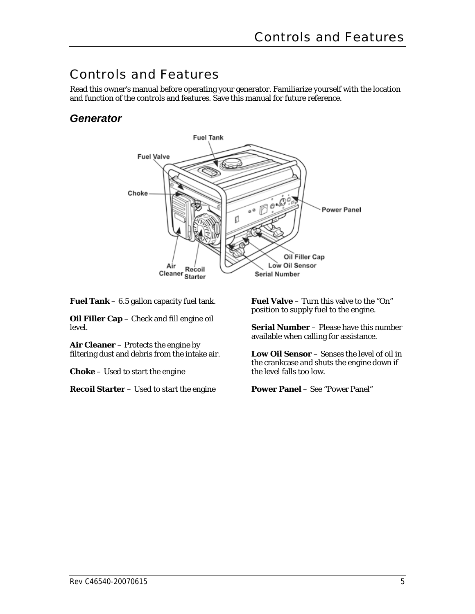# Controls and Features

Read this owner's manual before operating your generator. Familiarize yourself with the location and function of the controls and features. Save this manual for future reference.

# *Generator*



**Fuel Tank** – 6.5 gallon capacity fuel tank.

**Oil Filler Cap** – Check and fill engine oil level.

**Air Cleaner** – Protects the engine by filtering dust and debris from the intake air.

**Choke** – Used to start the engine

**Recoil Starter** – Used to start the engine

**Fuel Valve** – Turn this valve to the "On" position to supply fuel to the engine.

**Serial Number** – Please have this number available when calling for assistance.

**Low Oil Sensor** – Senses the level of oil in the crankcase and shuts the engine down if the level falls too low.

**Power Panel** – See "Power Panel"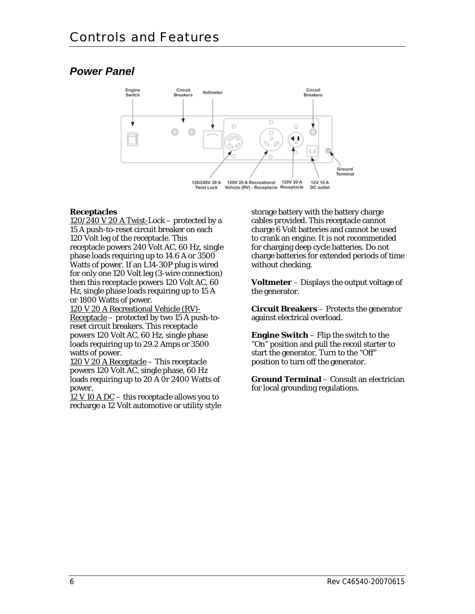# *Power Panel*



### **Receptacles**

 $120/240$  V 20 A Twist-Lock – protected by a 15 A push-to-reset circuit breaker on each 120 Volt leg of the receptacle. This receptacle powers 240 Volt AC, 60 Hz, single phase loads requiring up to 14.6 A or 3500 Watts of power. If an L14-30P plug is wired for only one 120 Volt leg (3-wire connection) then this receptacle powers 120 Volt AC, 60 Hz, single phase loads requiring up to 15 A or 1800 Watts of power.

120 V 20 A Recreational Vehicle (RV)-  $Receptacle – protected by two 15 A push-to-$ </u> reset circuit breakers. This receptacle powers 120 Volt AC, 60 Hz, single phase loads requiring up to 29.2 Amps or 3500 watts of power.

120 V 20 A Receptacle – This receptacle powers 120 Volt AC, single phase, 60 Hz loads requiring up to 20 A Or 2400 Watts of power.

 $12$  V 10 A DC – this receptacle allows you to recharge a 12 Volt automotive or utility style storage battery with the battery charge cables provided. This receptacle cannot charge 6 Volt batteries and cannot be used to crank an engine. It is not recommended for charging deep cycle batteries. Do not charge batteries for extended periods of time without checking.

**Voltmeter** – Displays the output voltage of the generator.

**Circuit Breakers** – Protects the generator against electrical overload.

**Engine Switch** – Flip the switch to the "On" position and pull the recoil starter to start the generator. Turn to the "Off" position to turn off the generator.

**Ground Terminal** – Consult an electrician for local grounding regulations.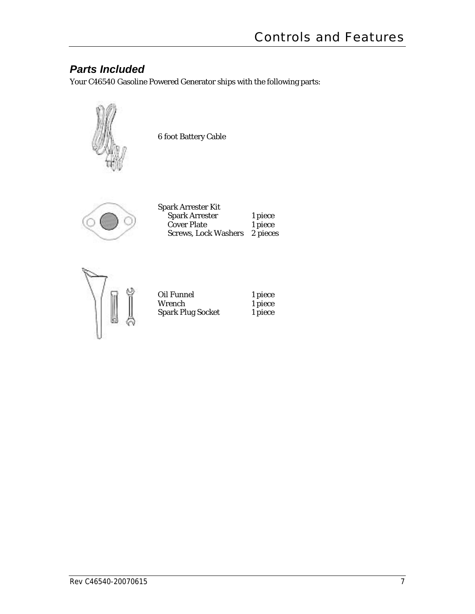# *Parts Included*

Your C46540 Gasoline Powered Generator ships with the following parts:



6 foot Battery Cable



| Spark Arrester Kit          |          |
|-----------------------------|----------|
| <b>Spark Arrester</b>       | 1 piece  |
| <b>Cover Plate</b>          | 1 piece  |
| <b>Screws, Lock Washers</b> | 2 pieces |



| Oil Funnel               | 1 piece |
|--------------------------|---------|
| Wrench                   | 1 piece |
| <b>Spark Plug Socket</b> | 1 piece |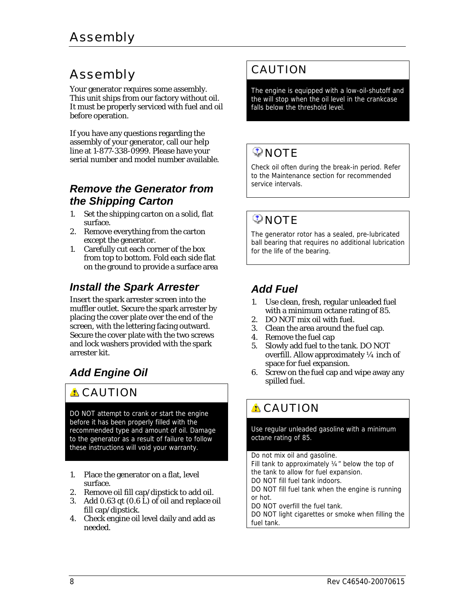# Assembly

Your generator requires some assembly. This unit ships from our factory without oil. It must be properly serviced with fuel and oil before operation.

If you have any questions regarding the assembly of your generator, call our help line at 1-877-338-0999. Please have your serial number and model number available.

### *Remove the Generator from the Shipping Carton*

- 1. Set the shipping carton on a solid, flat surface.
- 2. Remove everything from the carton except the generator.
- 1. Carefully cut each corner of the box from top to bottom. Fold each side flat on the ground to provide a surface area

# *Install the Spark Arrester*

Insert the spark arrester screen into the muffler outlet. Secure the spark arrester by placing the cover plate over the end of the screen, with the lettering facing outward. Secure the cover plate with the two screws and lock washers provided with the spark arrester kit.

# *Add Engine Oil*

# **A** CAUTION

DO NOT attempt to crank or start the engine before it has been properly filled with the recommended type and amount of oil. Damage to the generator as a result of failure to follow these instructions will void your warranty.

- 1. Place the generator on a flat, level surface.
- 2. Remove oil fill cap/dipstick to add oil.
- 3. Add 0.63 qt (0.6 L) of oil and replace oil fill cap/dipstick.
- 4. Check engine oil level daily and add as needed.

# CAUTION

The engine is equipped with a low-oil-shutoff and the will stop when the oil level in the crankcase falls below the threshold level.

# $\heartsuit$  NOTE

Check oil often during the break-in period. Refer to the Maintenance section for recommended service intervals.

# $\mathcal Q$  NOTE

The generator rotor has a sealed, pre-lubricated ball bearing that requires no additional lubrication for the life of the bearing.

# *Add Fuel*

- 1. Use clean, fresh, regular unleaded fuel with a minimum octane rating of 85.
- 2. DO NOT mix oil with fuel.
- 3. Clean the area around the fuel cap.
- 4. Remove the fuel cap
- 5. Slowly add fuel to the tank. DO NOT overfill. Allow approximately ¼ inch of space for fuel expansion.
- 6. Screw on the fuel cap and wipe away any spilled fuel.

# **A** CAUTION

Use regular unleaded gasoline with a minimum octane rating of 85.

#### Do not mix oil and gasoline.

Fill tank to approximately ¼" below the top of the tank to allow for fuel expansion.

DO NOT fill fuel tank indoors.

DO NOT fill fuel tank when the engine is running or hot.

DO NOT overfill the fuel tank.

DO NOT light cigarettes or smoke when filling the fuel tank.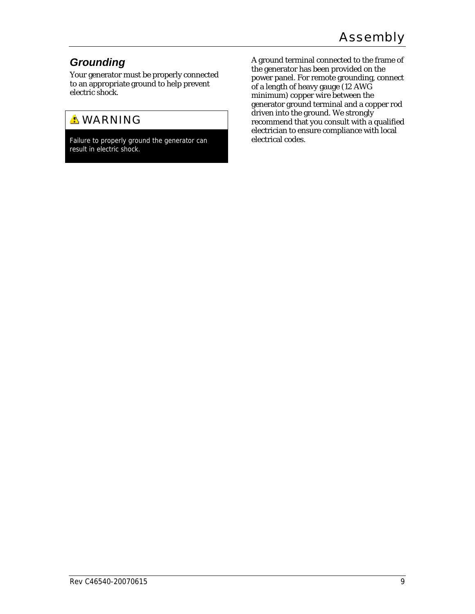# *Grounding*

Your generator must be properly connected to an appropriate ground to help prevent electric shock.

# **A WARNING**

Failure to properly ground the generator can result in electric shock.

A ground terminal connected to the frame of the generator has been provided on the power panel. For remote grounding, connect of a length of heavy gauge (12 AWG minimum) copper wire between the generator ground terminal and a copper rod driven into the ground. We strongly recommend that you consult with a qualified electrician to ensure compliance with local electrical codes.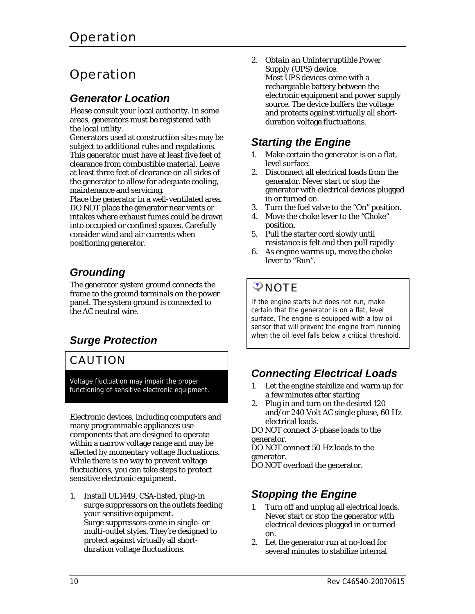# **Operation**

### *Generator Location*

Please consult your local authority. In some areas, generators must be registered with the local utility.

Generators used at construction sites may be subject to additional rules and regulations. This generator must have at least five feet of clearance from combustible material. Leave at least three feet of clearance on all sides of the generator to allow for adequate cooling, maintenance and servicing.

Place the generator in a well-ventilated area. DO NOT place the generator near vents or intakes where exhaust fumes could be drawn into occupied or confined spaces. Carefully consider wind and air currents when positioning generator.

# *Grounding*

The generator system ground connects the frame to the ground terminals on the power panel. The system ground is connected to the AC neutral wire.

# *Surge Protection*

# CAUTION

Voltage fluctuation may impair the proper functioning of sensitive electronic equipment.

Electronic devices, including computers and many programmable appliances use components that are designed to operate within a narrow voltage range and may be affected by momentary voltage fluctuations. While there is no way to prevent voltage fluctuations, you can take steps to protect sensitive electronic equipment.

1. *Install UL1449, CSA-listed, plug-in surge suppressors on the outlets feeding your sensitive equipment.* Surge suppressors come in single- or multi-outlet styles. They're designed to protect against virtually all shortduration voltage fluctuations.

2. *Obtain an Uninterruptible Power Supply (UPS) device.* Most UPS devices come with a rechargeable battery between the electronic equipment and power supply source. The device buffers the voltage and protects against virtually all shortduration voltage fluctuations.

# *Starting the Engine*

- 1. Make certain the generator is on a flat, level surface.
- 2. Disconnect all electrical loads from the generator. Never start or stop the generator with electrical devices plugged in or turned on.
- 3. Turn the fuel valve to the "On" position.
- 4. Move the choke lever to the "Choke" position.
- 5. Pull the starter cord slowly until resistance is felt and then pull rapidly
- 6. As engine warms up, move the choke lever to "Run".

# $\heartsuit$  NOTE

If the engine starts but does not run, make certain that the generator is on a flat, level surface. The engine is equipped with a low oil sensor that will prevent the engine from running when the oil level falls below a critical threshold.

# *Connecting Electrical Loads*

- 1. Let the engine stabilize and warm up for a few minutes after starting
- 2. Plug in and turn on the desired 120 and/or 240 Volt AC single phase, 60 Hz electrical loads.

DO NOT connect 3-phase loads to the generator.

DO NOT connect 50 Hz loads to the generator.

DO NOT overload the generator.

# *Stopping the Engine*

- 1. Turn off and unplug all electrical loads. Never start or stop the generator with electrical devices plugged in or turned on.
- 2. Let the generator run at no-load for several minutes to stabilize internal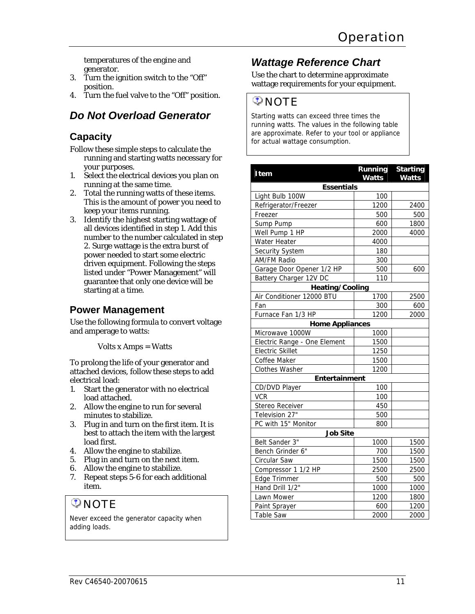temperatures of the engine and generator.

- 3. Turn the ignition switch to the "Off" position.
- 4. Turn the fuel valve to the "Off" position.

# *Do Not Overload Generator*

### **Capacity**

- Follow these simple steps to calculate the running and starting watts necessary for your purposes.
- 1. Select the electrical devices you plan on running at the same time.
- 2. Total the running watts of these items. This is the amount of power you need to keep your items running.
- 3. Identify the highest starting wattage of all devices identified in step 1. Add this number to the number calculated in step 2. Surge wattage is the extra burst of power needed to start some electric driven equipment. Following the steps listed under "Power Management" will guarantee that only one device will be starting at a time.

### **Power Management**

Use the following formula to convert voltage and amperage to watts:

Volts x Amps = Watts

To prolong the life of your generator and attached devices, follow these steps to add electrical load:

- 1. Start the generator with no electrical load attached.
- 2. Allow the engine to run for several minutes to stabilize.
- 3. Plug in and turn on the first item. It is best to attach the item with the largest load first.
- 4. Allow the engine to stabilize.
- 5. Plug in and turn on the next item.
- 6. Allow the engine to stabilize.
- 7. Repeat steps 5-6 for each additional item.

# $\mathcal{D}$  NOTE

Never exceed the generator capacity when adding loads.

### *Wattage Reference Chart*

Use the chart to determine approximate wattage requirements for your equipment.

### **ONOTE**

Starting watts can exceed three times the running watts. The values in the following table are approximate. Refer to your tool or appliance for actual wattage consumption.

| Item                         | Running<br><b>Watts</b> | <b>Starting</b><br><b>Watts</b> |
|------------------------------|-------------------------|---------------------------------|
| <b>Essentials</b>            |                         |                                 |
| Light Bulb 100W              | 100                     |                                 |
| Refrigerator/Freezer         | 1200                    | 2400                            |
| Freezer                      | 500                     | 500                             |
| Sump Pump                    | 600                     | 1800                            |
| Well Pump 1 HP               | 2000                    | 4000                            |
| Water Heater                 | 4000                    |                                 |
| Security System              | 180                     |                                 |
| <b>AM/FM Radio</b>           | 300                     |                                 |
| Garage Door Opener 1/2 HP    | 500                     | 600                             |
| Battery Charger 12V DC       | 110                     |                                 |
| <b>Heating/Cooling</b>       |                         |                                 |
| Air Conditioner 12000 BTU    | 1700                    | 2500                            |
| Fan                          | 300                     | 600                             |
| Furnace Fan 1/3 HP           | 1200                    | 2000                            |
| <b>Home Appliances</b>       |                         |                                 |
| Microwave 1000W              | 1000                    |                                 |
| Electric Range - One Element | 1500                    |                                 |
| <b>Electric Skillet</b>      | 1250                    |                                 |
| Coffee Maker                 | 1500                    |                                 |
| Clothes Washer               | 1200                    |                                 |
| Entertainment                |                         |                                 |
| CD/DVD Player                | 100                     |                                 |
| <b>VCR</b>                   | 100                     |                                 |
| Stereo Receiver              | 450                     |                                 |
| Television 27"               | 500                     |                                 |
| PC with 15" Monitor          | 800                     |                                 |
| <b>Job Site</b>              |                         |                                 |
| Belt Sander 3"               | 1000                    | 1500                            |
| Bench Grinder 6"             | 700                     | 1500                            |
| Circular Saw                 | 1500                    | 1500                            |
| Compressor 1 1/2 HP          | 2500                    | 2500                            |
| Edge Trimmer                 | 500                     | 500                             |
| Hand Drill 1/2"              | 1000                    | 1000                            |
| Lawn Mower                   | 1200                    | 1800                            |
| Paint Sprayer                | 600                     | 1200                            |
| Table Saw                    | 2000                    | 2000                            |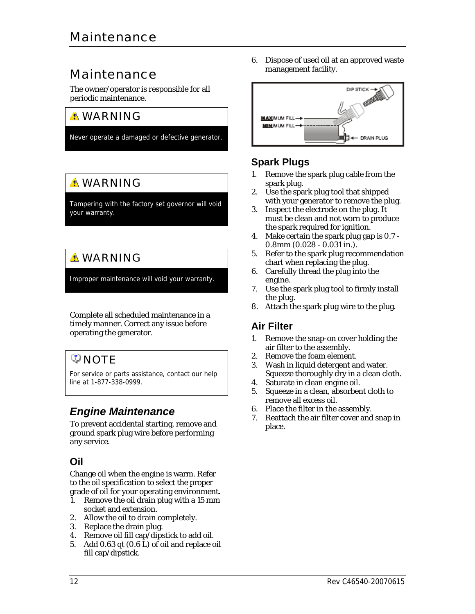# Maintenance

The owner/operator is responsible for all periodic maintenance.

# **A WARNING**

Never operate a damaged or defective generator.

# **A** WARNING

Tampering with the factory set governor will void your warranty.

# **A WARNING**

Improper maintenance will void your warranty.

Complete all scheduled maintenance in a timely manner. Correct any issue before operating the generator.

# **D**NOTE

For service or parts assistance, contact our help line at 1-877-338-0999.

# *Engine Maintenance*

To prevent accidental starting, remove and ground spark plug wire before performing any service.

### **Oil**

Change oil when the engine is warm. Refer to the oil specification to select the proper grade of oil for your operating environment.

- 1. Remove the oil drain plug with a 15 mm socket and extension.
- 2. Allow the oil to drain completely.
- 3. Replace the drain plug.
- 4. Remove oil fill cap/dipstick to add oil.
- 5. Add 0.63 qt (0.6 L) of oil and replace oil fill cap/dipstick.

6. Dispose of used oil at an approved waste management facility.



### **Spark Plugs**

- 1. Remove the spark plug cable from the spark plug.
- 2. Use the spark plug tool that shipped with your generator to remove the plug.
- 3. Inspect the electrode on the plug. It must be clean and not worn to produce the spark required for ignition.
- 4. Make certain the spark plug gap is 0.7 0.8mm (0.028 - 0.031 in.).
- 5. Refer to the spark plug recommendation chart when replacing the plug.
- 6. Carefully thread the plug into the engine.
- 7. Use the spark plug tool to firmly install the plug.
- 8. Attach the spark plug wire to the plug.

### **Air Filter**

- 1. Remove the snap-on cover holding the air filter to the assembly.
- 2. Remove the foam element.
- 3. Wash in liquid detergent and water. Squeeze thoroughly dry in a clean cloth.
- 4. Saturate in clean engine oil.
- 5. Squeeze in a clean, absorbent cloth to remove all excess oil.
- 6. Place the filter in the assembly.
- 7. Reattach the air filter cover and snap in place.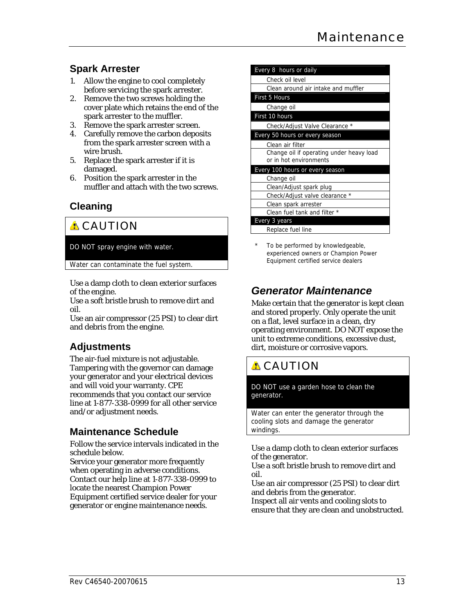### **Spark Arrester**

- 1. Allow the engine to cool completely before servicing the spark arrester.
- 2. Remove the two screws holding the cover plate which retains the end of the spark arrester to the muffler.
- 3. Remove the spark arrester screen.
- 4. Carefully remove the carbon deposits from the spark arrester screen with a wire brush.
- 5. Replace the spark arrester if it is damaged.
- 6. Position the spark arrester in the muffler and attach with the two screws.

### **Cleaning**

# **A** CAUTION

### DO NOT spray engine with water.

Water can contaminate the fuel system.

Use a damp cloth to clean exterior surfaces of the engine.

Use a soft bristle brush to remove dirt and oil.

Use an air compressor (25 PSI) to clear dirt and debris from the engine.

# **Adjustments**

The air-fuel mixture is not adjustable. Tampering with the governor can damage your generator and your electrical devices and will void your warranty. CPE recommends that you contact our service line at 1-877-338-0999 for all other service and/or adjustment needs.

### **Maintenance Schedule**

Follow the service intervals indicated in the schedule below.

Service your generator more frequently when operating in adverse conditions. Contact our help line at 1-877-338-0999 to locate the nearest Champion Power Equipment certified service dealer for your generator or engine maintenance needs.

| Every 8 hours or daily                                             |
|--------------------------------------------------------------------|
| Check oil level                                                    |
| Clean around air intake and muffler                                |
| First 5 Hours                                                      |
| Change oil                                                         |
| First 10 hours                                                     |
| Check/Adjust Valve Clearance *                                     |
| Every 50 hours or every season                                     |
| Clean air filter                                                   |
| Change oil if operating under heavy load<br>or in hot environments |
| Every 100 hours or every season                                    |
| Change oil                                                         |
| Clean/Adjust spark plug                                            |
| Check/Adjust valve clearance *                                     |
| Clean spark arrester                                               |
| Clean fuel tank and filter *                                       |
| Every 3 years                                                      |
| Replace fuel line                                                  |

To be performed by knowledgeable, experienced owners or Champion Power Equipment certified service dealers

# *Generator Maintenance*

Make certain that the generator is kept clean and stored properly. Only operate the unit on a flat, level surface in a clean, dry operating environment. DO NOT expose the unit to extreme conditions, excessive dust, dirt, moisture or corrosive vapors.

# **A** CAUTION

DO NOT use a garden hose to clean the generator.

Water can enter the generator through the cooling slots and damage the generator windings.

Use a damp cloth to clean exterior surfaces of the generator.

Use a soft bristle brush to remove dirt and oil.

Use an air compressor (25 PSI) to clear dirt and debris from the generator.

Inspect all air vents and cooling slots to ensure that they are clean and unobstructed.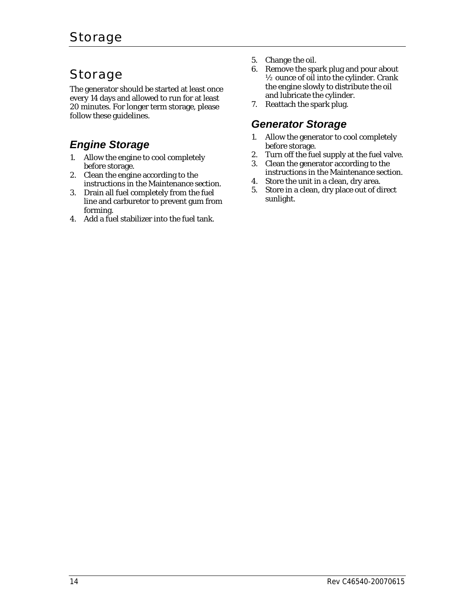# Storage

The generator should be started at least once every 14 days and allowed to run for at least 20 minutes. For longer term storage, please follow these guidelines.

# *Engine Storage*

- 1. Allow the engine to cool completely before storage.
- 2. Clean the engine according to the instructions in the Maintenance section.
- 3. Drain all fuel completely from the fuel line and carburetor to prevent gum from forming.
- 4. Add a fuel stabilizer into the fuel tank.
- 5. Change the oil.
- 6. Remove the spark plug and pour about ½ ounce of oil into the cylinder. Crank the engine slowly to distribute the oil and lubricate the cylinder.
- 7. Reattach the spark plug.

# *Generator Storage*

- 1. Allow the generator to cool completely before storage.
- 2. Turn off the fuel supply at the fuel valve.
- 3. Clean the generator according to the instructions in the Maintenance section.
- 4. Store the unit in a clean, dry area.
- 5. Store in a clean, dry place out of direct sunlight.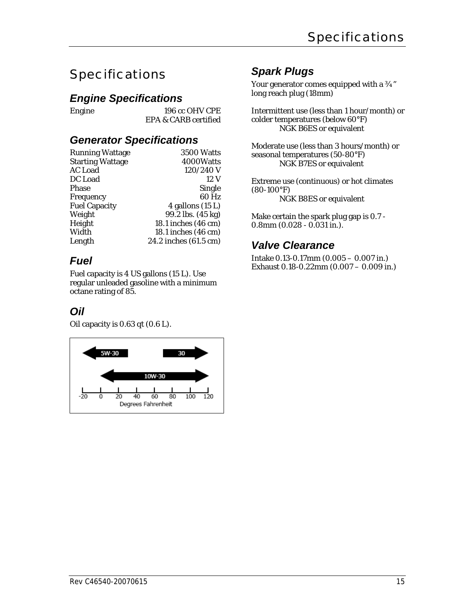# Specifications

### *Engine Specifications*

Engine 196 cc OHV CPE EPA & CARB certified

### *Generator Specifications*

| Running Wattage         | <b>3500 Watts</b>     |
|-------------------------|-----------------------|
| <b>Starting Wattage</b> | 4000Watts             |
| AC Load                 | 120/240 V             |
| DC Load                 | 12 V                  |
| Phase                   | <b>Single</b>         |
| Frequency               | 60 Hz                 |
| <b>Fuel Capacity</b>    | 4 gallons (15 L)      |
| Weight                  | 99.2 lbs. (45 kg)     |
| Height                  | 18.1 inches (46 cm)   |
| Width                   | 18.1 inches (46 cm)   |
| Length                  | 24.2 inches (61.5 cm) |
|                         |                       |

# *Fuel*

Fuel capacity is 4 US gallons (15 L). Use regular unleaded gasoline with a minimum octane rating of 85.

### *Oil*

Oil capacity is 0.63 qt (0.6 L).



### *Spark Plugs*

Your generator comes equipped with a  $\frac{3}{4}$ " long reach plug (18mm)

Intermittent use (less than 1 hour/month) or colder temperatures (below 60°F) NGK B6ES or equivalent

Moderate use (less than 3 hours/month) or seasonal temperatures (50-80°F) NGK B7ES or equivalent

Extreme use (continuous) or hot climates (80-100°F) NGK B8ES or equivalent

Make certain the spark plug gap is 0.7 - 0.8mm (0.028 - 0.031 in.).

### *Valve Clearance*

Intake 0.13-0.17mm (0.005 – 0.007 in.) Exhaust 0.18-0.22mm (0.007 – 0.009 in.)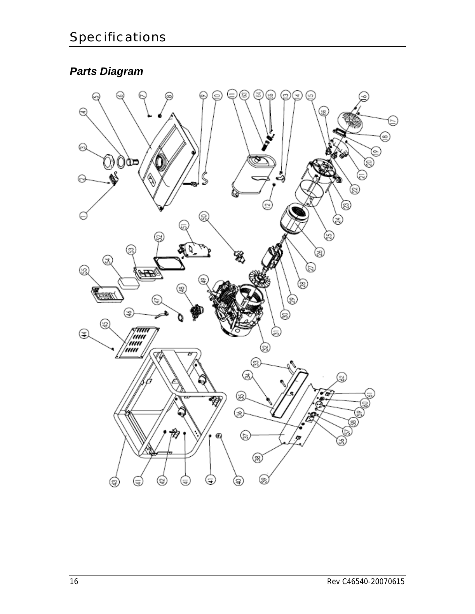# *Parts Diagram*

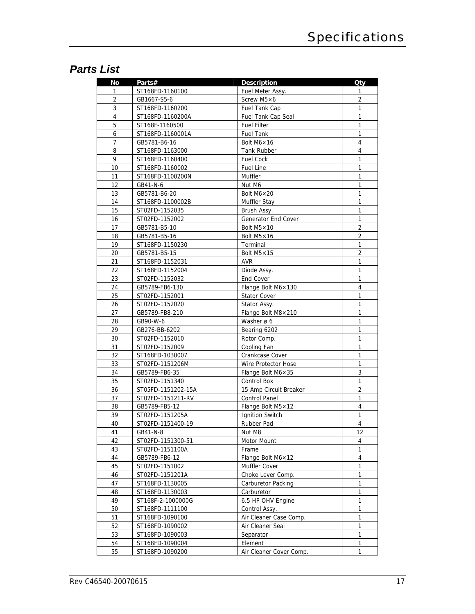# *Parts List*

| No             | Parts#             | <b>Description</b>          | <b>Oty</b>     |
|----------------|--------------------|-----------------------------|----------------|
| 1              | ST168FD-1160100    | Fuel Meter Assy.            | 1              |
| $\overline{2}$ | GB1667-S5-6        | Screw $M5\times 6$          | 2              |
| 3              | ST168FD-1160200    | Fuel Tank Cap               | 1              |
| $\overline{4}$ | ST168FD-1160200A   | Fuel Tank Cap Seal          | $\mathbf{1}$   |
| 5              | ST168F-1160500     | <b>Fuel Filter</b>          | 1              |
| 6              | ST168FD-1160001A   | <b>Fuel Tank</b>            | 1              |
| 7              | GB5781-B6-16       | Bolt $M6\times 16$          | 4              |
| 8              | ST168FD-1163000    | Tank Rubber                 | 4              |
| 9              | ST168FD-1160400    | <b>Fuel Cock</b>            | 1              |
| 10             | ST168FD-1160002    | <b>Fuel Line</b>            | $\mathbf{1}$   |
| 11             | ST168FD-1100200N   | Muffler                     | 1              |
| 12             | GB41-N-6           | Nut M6                      | 1              |
| 13             | GB5781-B6-20       | Bolt $M6 \times 20$         | 1              |
| 14             | ST168FD-1100002B   | Muffler Stay                | 1              |
| 15             | ST02FD-1152035     | Brush Assy.                 | 1              |
| 16             | ST02FD-1152002     | Generator End Cover         | $\mathbf{1}$   |
| 17             | GB5781-B5-10       | Bolt $M5 \times 10$         | $\overline{2}$ |
| 18             | GB5781-B5-16       | Bolt $M5\times 16$          | $\overline{2}$ |
| 19             | ST168FD-1150230    | Terminal                    | 1              |
| 20             | GB5781-B5-15       | Bolt $M5 \times 15$         | $\overline{2}$ |
| 21             | ST168FD-1152031    | AVR                         | 1              |
| 22             | ST168FD-1152004    | Diode Assy.                 | 1              |
| 23             | ST02FD-1152032     | End Cover                   | 1              |
| 24             | GB5789-FB6-130     | Flange Bolt $M6 \times 130$ | 4              |
| 25             | ST02FD-1152001     | <b>Stator Cover</b>         | 1              |
| 26             | ST02FD-1152020     | Stator Assy.                | 1              |
| 27             | GB5789-FB8-210     | Flange Bolt $M8\times210$   | $\mathbf{1}$   |
| 28             | GB90-W-6           | Washer ø 6                  | $\mathbf{1}$   |
| 29             | GB276-BB-6202      | Bearing 6202                | 1              |
| 30             | ST02FD-1152010     | Rotor Comp.                 | 1              |
| 31             | ST02FD-1152009     | Cooling Fan                 | 1              |
| 32             | ST168FD-1030007    | Crankcase Cover             | 1              |
| 33             | ST02FD-1151206M    | Wire Protector Hose         | 1              |
| 34             | GB5789-FB6-35      | Flange Bolt M6×35           | $\mathbf{3}$   |
| 35             | ST02FD-1151340     | Control Box                 | 1              |
| 36             | ST05FD-1151202-15A | 15 Amp Circuit Breaker      | 2              |
| 37             | ST02FD-1151211-RV  | <b>Control Panel</b>        | 1              |
| 38             | GB5789-FB5-12      | Flange Bolt $M5 \times 12$  | 4              |
| 39             | ST02FD-1151205A    | <b>Ignition Switch</b>      | 1              |
| 40             | ST02FD-1151400-19  | Rubber Pad                  | 4              |
| 41             | GB41-N-8           | Nut M8                      | 12             |
| 42             | ST02FD-1151300-51  | Motor Mount                 | 4              |
| 43             | ST02FD-1151100A    | Frame                       | 1              |
| 44             | GB5789-FB6-12      | Flange Bolt M6×12           | 4              |
| 45             | ST02FD-1151002     | Muffler Cover               | 1              |
| 46             | ST02FD-1151201A    | Choke Lever Comp.           | $\mathbf{1}$   |
| 47             | ST168FD-1130005    | Carburetor Packing          | 1              |
| 48             | ST168FD-1130003    | Carburetor                  | 1              |
| 49             | ST168F-2-1000000G  | 6.5 HP OHV Engine           | 1              |
| 50             | ST168FD-1111100    | Control Assy.               | 1              |
| 51             | ST168FD-1090100    | Air Cleaner Case Comp.      | 1              |
| 52             | ST168FD-1090002    | Air Cleaner Seal            | $\mathbf{1}$   |
| 53             | ST168FD-1090003    | Separator                   | 1              |
| 54             | ST168FD-1090004    | Element                     | 1              |
| 55             | ST168FD-1090200    | Air Cleaner Cover Comp.     | 1              |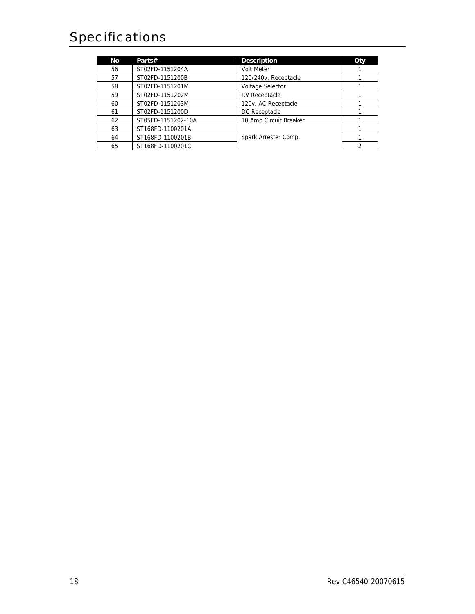# Specifications

| Νo | Parts#             | <b>Description</b>      | Qty |
|----|--------------------|-------------------------|-----|
| 56 | ST02FD-1151204A    | <b>Volt Meter</b>       |     |
| 57 | ST02FD-1151200B    | 120/240v. Receptacle    |     |
| 58 | ST02FD-1151201M    | <b>Voltage Selector</b> |     |
| 59 | ST02FD-1151202M    | <b>RV Receptacle</b>    |     |
| 60 | ST02FD-1151203M    | 120v. AC Receptacle     |     |
| 61 | ST02FD-1151200D    | DC Receptacle           |     |
| 62 | ST05FD-1151202-10A | 10 Amp Circuit Breaker  |     |
| 63 | ST168FD-1100201A   |                         |     |
| 64 | ST168FD-1100201B   | Spark Arrester Comp.    |     |
| 65 | ST168FD-1100201C   |                         |     |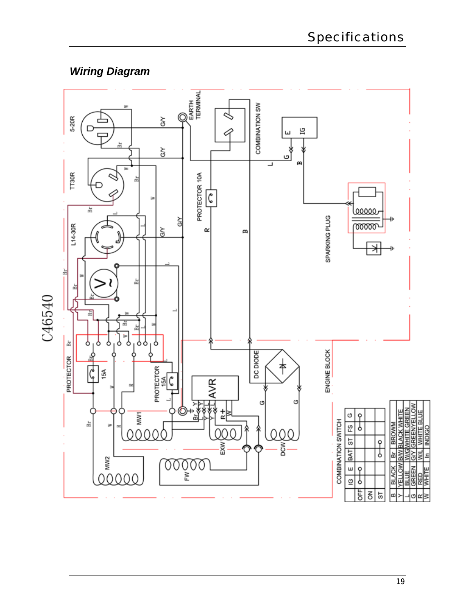# *Wiring Diagram*

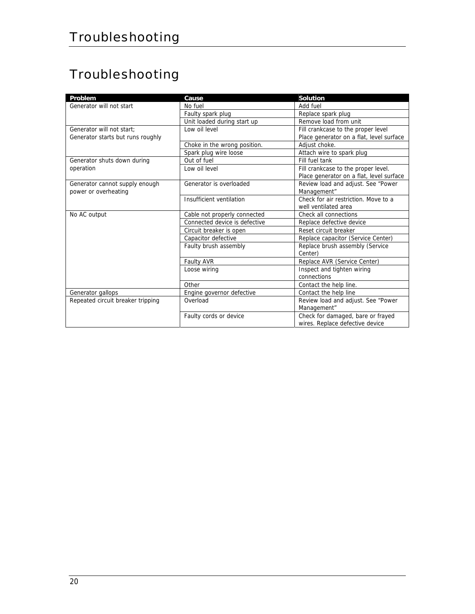# Troubleshooting

| Problem                           | Cause                         | <b>Solution</b>                          |
|-----------------------------------|-------------------------------|------------------------------------------|
| Generator will not start          | No fuel                       | Add fuel                                 |
|                                   | Faulty spark plug             | Replace spark plug                       |
|                                   | Unit loaded during start up   | Remove load from unit                    |
| Generator will not start:         | Low oil level                 | Fill crankcase to the proper level       |
| Generator starts but runs roughly |                               | Place generator on a flat, level surface |
|                                   | Choke in the wrong position.  | Adjust choke.                            |
|                                   | Spark plug wire loose         | Attach wire to spark plug                |
| Generator shuts down during       | Out of fuel                   | Fill fuel tank                           |
| operation                         | Low oil level                 | Fill crankcase to the proper level.      |
|                                   |                               | Place generator on a flat, level surface |
| Generator cannot supply enough    | Generator is overloaded       | Review load and adjust. See "Power       |
| power or overheating              |                               | Management"                              |
|                                   | Insufficient ventilation      | Check for air restriction. Move to a     |
|                                   |                               | well ventilated area                     |
| No AC output                      | Cable not properly connected  | Check all connections                    |
|                                   | Connected device is defective | Replace defective device                 |
|                                   | Circuit breaker is open       | Reset circuit breaker                    |
|                                   | Capacitor defective           | Replace capacitor (Service Center)       |
|                                   | Faulty brush assembly         | Replace brush assembly (Service          |
|                                   |                               | Center)                                  |
|                                   | Faulty AVR                    | Replace AVR (Service Center)             |
|                                   | Loose wiring                  | Inspect and tighten wiring               |
|                                   |                               | connections                              |
|                                   | Other                         | Contact the help line.                   |
| Generator gallops                 | Engine governor defective     | Contact the help line                    |
| Repeated circuit breaker tripping | Overload                      | Review load and adjust. See "Power       |
|                                   |                               | Management"                              |
|                                   | Faulty cords or device        | Check for damaged, bare or frayed        |
|                                   |                               | wires. Replace defective device          |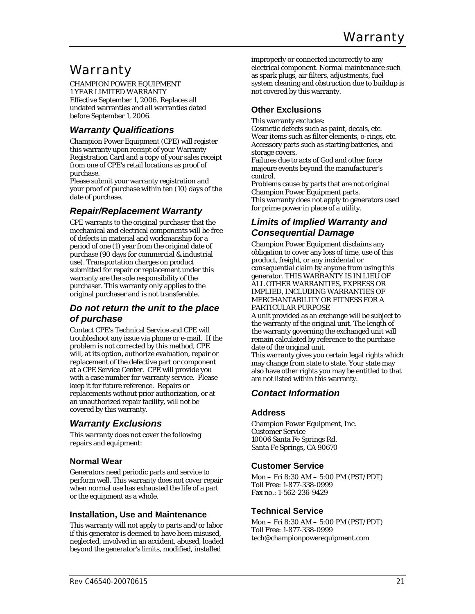# Warranty

CHAMPION POWER EQUIPMENT 1 YEAR LIMITED WARRANTY Effective September 1, 2006. Replaces all undated warranties and all warranties dated before September 1, 2006.

### *Warranty Qualifications*

Champion Power Equipment (CPE) will register this warranty upon receipt of your Warranty Registration Card and a copy of your sales receipt from one of CPE's retail locations as proof of purchase.

Please submit your warranty registration and your proof of purchase within ten (10) days of the date of purchase.

### *Repair/Replacement Warranty*

CPE warrants to the original purchaser that the mechanical and electrical components will be free of defects in material and workmanship for a period of one (1) year from the original date of purchase (90 days for commercial & industrial use). Transportation charges on product submitted for repair or replacement under this warranty are the sole responsibility of the purchaser. This warranty only applies to the original purchaser and is not transferable.

### *Do not return the unit to the place of purchase*

Contact CPE's Technical Service and CPE will troubleshoot any issue via phone or e-mail. If the problem is not corrected by this method, CPE will, at its option, authorize evaluation, repair or replacement of the defective part or component at a CPE Service Center. CPE will provide you with a case number for warranty service. Please keep it for future reference. Repairs or replacements without prior authorization, or at an unauthorized repair facility, will not be covered by this warranty.

### *Warranty Exclusions*

This warranty does not cover the following repairs and equipment:

### **Normal Wear**

Generators need periodic parts and service to perform well. This warranty does not cover repair when normal use has exhausted the life of a part or the equipment as a whole.

### **Installation, Use and Maintenance**

This warranty will not apply to parts and/or labor if this generator is deemed to have been misused, neglected, involved in an accident, abused, loaded beyond the generator's limits, modified, installed

improperly or connected incorrectly to any electrical component. Normal maintenance such as spark plugs, air filters, adjustments, fuel system cleaning and obstruction due to buildup is not covered by this warranty.

### **Other Exclusions**

This warranty excludes:

Cosmetic defects such as paint, decals, etc. Wear items such as filter elements, o-rings, etc. Accessory parts such as starting batteries, and storage covers.

Failures due to acts of God and other force majeure events beyond the manufacturer's control.

Problems cause by parts that are not original Champion Power Equipment parts. This warranty does not apply to generators used for prime power in place of a utility.

### *Limits of Implied Warranty and Consequential Damage*

Champion Power Equipment disclaims any obligation to cover any loss of time, use of this product, freight, or any incidental or consequential claim by anyone from using this generator. THIS WARRANTY IS IN LIEU OF ALL OTHER WARRANTIES, EXPRESS OR IMPLIED, INCLUDING WARRANTIES OF MERCHANTABILITY OR FITNESS FOR A PARTICULAR PURPOSE

A unit provided as an exchange will be subject to the warranty of the original unit. The length of the warranty governing the exchanged unit will remain calculated by reference to the purchase date of the original unit.

This warranty gives you certain legal rights which may change from state to state. Your state may also have other rights you may be entitled to that are not listed within this warranty.

### *Contact Information*

### **Address**

Champion Power Equipment, Inc. Customer Service 10006 Santa Fe Springs Rd. Santa Fe Springs, CA 90670

### **Customer Service**

Mon – Fri 8:30 AM – 5:00 PM (PST/PDT) Toll Free: 1-877-338-0999 Fax no.: 1-562-236-9429

### **Technical Service**

Mon – Fri 8:30 AM – 5:00 PM (PST/PDT) Toll Free: 1-877-338-0999 tech@championpowerequipment.com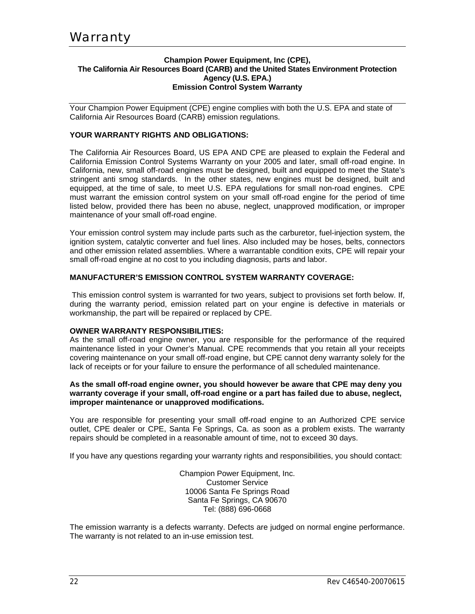#### **Champion Power Equipment, Inc (CPE), The California Air Resources Board (CARB) and the United States Environment Protection Agency (U.S. EPA.) Emission Control System Warranty**

Your Champion Power Equipment (CPE) engine complies with both the U.S. EPA and state of California Air Resources Board (CARB) emission regulations.

### **YOUR WARRANTY RIGHTS AND OBLIGATIONS:**

The California Air Resources Board, US EPA AND CPE are pleased to explain the Federal and California Emission Control Systems Warranty on your 2005 and later, small off-road engine. In California, new, small off-road engines must be designed, built and equipped to meet the State's stringent anti smog standards. In the other states, new engines must be designed, built and equipped, at the time of sale, to meet U.S. EPA regulations for small non-road engines. CPE must warrant the emission control system on your small off-road engine for the period of time listed below, provided there has been no abuse, neglect, unapproved modification, or improper maintenance of your small off-road engine.

Your emission control system may include parts such as the carburetor, fuel-injection system, the ignition system, catalytic converter and fuel lines. Also included may be hoses, belts, connectors and other emission related assemblies. Where a warrantable condition exits, CPE will repair your small off-road engine at no cost to you including diagnosis, parts and labor.

#### **MANUFACTURER'S EMISSION CONTROL SYSTEM WARRANTY COVERAGE:**

 This emission control system is warranted for two years, subject to provisions set forth below. If, during the warranty period, emission related part on your engine is defective in materials or workmanship, the part will be repaired or replaced by CPE.

#### **OWNER WARRANTY RESPONSIBILITIES:**

As the small off-road engine owner, you are responsible for the performance of the required maintenance listed in your Owner's Manual. CPE recommends that you retain all your receipts covering maintenance on your small off-road engine, but CPE cannot deny warranty solely for the lack of receipts or for your failure to ensure the performance of all scheduled maintenance.

#### **As the small off-road engine owner, you should however be aware that CPE may deny you warranty coverage if your small, off-road engine or a part has failed due to abuse, neglect, improper maintenance or unapproved modifications.**

You are responsible for presenting your small off-road engine to an Authorized CPE service outlet, CPE dealer or CPE, Santa Fe Springs, Ca. as soon as a problem exists. The warranty repairs should be completed in a reasonable amount of time, not to exceed 30 days.

If you have any questions regarding your warranty rights and responsibilities, you should contact:

Champion Power Equipment, Inc. Customer Service 10006 Santa Fe Springs Road Santa Fe Springs, CA 90670 Tel: (888) 696-0668

The emission warranty is a defects warranty. Defects are judged on normal engine performance. The warranty is not related to an in-use emission test.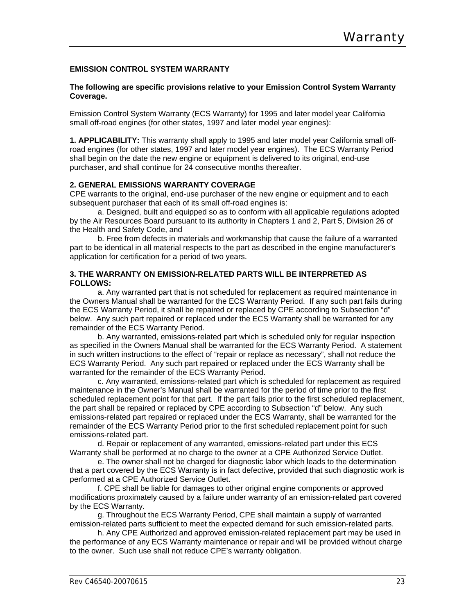#### **EMISSION CONTROL SYSTEM WARRANTY**

#### **The following are specific provisions relative to your Emission Control System Warranty Coverage.**

Emission Control System Warranty (ECS Warranty) for 1995 and later model year California small off-road engines (for other states, 1997 and later model year engines):

**1. APPLICABILITY:** This warranty shall apply to 1995 and later model year California small offroad engines (for other states, 1997 and later model year engines). The ECS Warranty Period shall begin on the date the new engine or equipment is delivered to its original, end-use purchaser, and shall continue for 24 consecutive months thereafter.

#### **2. GENERAL EMISSIONS WARRANTY COVERAGE**

CPE warrants to the original, end-use purchaser of the new engine or equipment and to each subsequent purchaser that each of its small off-road engines is:

 a. Designed, built and equipped so as to conform with all applicable regulations adopted by the Air Resources Board pursuant to its authority in Chapters 1 and 2, Part 5, Division 26 of the Health and Safety Code, and

 b. Free from defects in materials and workmanship that cause the failure of a warranted part to be identical in all material respects to the part as described in the engine manufacturer's application for certification for a period of two years.

#### **3. THE WARRANTY ON EMISSION-RELATED PARTS WILL BE INTERPRETED AS FOLLOWS:**

 a. Any warranted part that is not scheduled for replacement as required maintenance in the Owners Manual shall be warranted for the ECS Warranty Period. If any such part fails during the ECS Warranty Period, it shall be repaired or replaced by CPE according to Subsection "d" below. Any such part repaired or replaced under the ECS Warranty shall be warranted for any remainder of the ECS Warranty Period.

 b. Any warranted, emissions-related part which is scheduled only for regular inspection as specified in the Owners Manual shall be warranted for the ECS Warranty Period. A statement in such written instructions to the effect of "repair or replace as necessary", shall not reduce the ECS Warranty Period. Any such part repaired or replaced under the ECS Warranty shall be warranted for the remainder of the ECS Warranty Period.

 c. Any warranted, emissions-related part which is scheduled for replacement as required maintenance in the Owner's Manual shall be warranted for the period of time prior to the first scheduled replacement point for that part. If the part fails prior to the first scheduled replacement, the part shall be repaired or replaced by CPE according to Subsection "d" below. Any such emissions-related part repaired or replaced under the ECS Warranty, shall be warranted for the remainder of the ECS Warranty Period prior to the first scheduled replacement point for such emissions-related part.

 d. Repair or replacement of any warranted, emissions-related part under this ECS Warranty shall be performed at no charge to the owner at a CPE Authorized Service Outlet.

 e. The owner shall not be charged for diagnostic labor which leads to the determination that a part covered by the ECS Warranty is in fact defective, provided that such diagnostic work is performed at a CPE Authorized Service Outlet.

 f. CPE shall be liable for damages to other original engine components or approved modifications proximately caused by a failure under warranty of an emission-related part covered by the ECS Warranty.

 g. Throughout the ECS Warranty Period, CPE shall maintain a supply of warranted emission-related parts sufficient to meet the expected demand for such emission-related parts.

 h. Any CPE Authorized and approved emission-related replacement part may be used in the performance of any ECS Warranty maintenance or repair and will be provided without charge to the owner. Such use shall not reduce CPE's warranty obligation.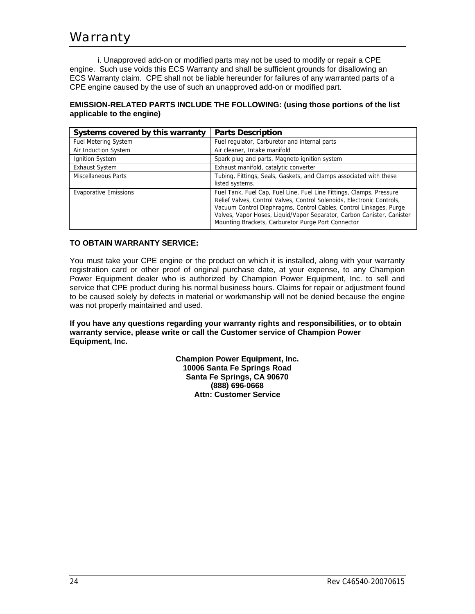# Warranty

 i. Unapproved add-on or modified parts may not be used to modify or repair a CPE engine. Such use voids this ECS Warranty and shall be sufficient grounds for disallowing an ECS Warranty claim. CPE shall not be liable hereunder for failures of any warranted parts of a CPE engine caused by the use of such an unapproved add-on or modified part.

### **EMISSION-RELATED PARTS INCLUDE THE FOLLOWING: (using those portions of the list applicable to the engine)**

| Systems covered by this warranty | <b>Parts Description</b>                                                                                                                                                                                                                                                                                                                             |
|----------------------------------|------------------------------------------------------------------------------------------------------------------------------------------------------------------------------------------------------------------------------------------------------------------------------------------------------------------------------------------------------|
| <b>Fuel Metering System</b>      | Fuel regulator, Carburetor and internal parts                                                                                                                                                                                                                                                                                                        |
| Air Induction System             | Air cleaner, Intake manifold                                                                                                                                                                                                                                                                                                                         |
| Ignition System                  | Spark plug and parts, Magneto ignition system                                                                                                                                                                                                                                                                                                        |
| <b>Exhaust System</b>            | Exhaust manifold, catalytic converter                                                                                                                                                                                                                                                                                                                |
| <b>Miscellaneous Parts</b>       | Tubing, Fittings, Seals, Gaskets, and Clamps associated with these<br>listed systems.                                                                                                                                                                                                                                                                |
| <b>Evaporative Emissions</b>     | Fuel Tank, Fuel Cap, Fuel Line, Fuel Line Fittings, Clamps, Pressure<br>Relief Valves, Control Valves, Control Solenoids, Electronic Controls,<br>Vacuum Control Diaphragms, Control Cables, Control Linkages, Purge<br>Valves, Vapor Hoses, Liquid/Vapor Separator, Carbon Canister, Canister<br>Mounting Brackets, Carburetor Purge Port Connector |

### **TO OBTAIN WARRANTY SERVICE:**

You must take your CPE engine or the product on which it is installed, along with your warranty registration card or other proof of original purchase date, at your expense, to any Champion Power Equipment dealer who is authorized by Champion Power Equipment, Inc. to sell and service that CPE product during his normal business hours. Claims for repair or adjustment found to be caused solely by defects in material or workmanship will not be denied because the engine was not properly maintained and used.

**If you have any questions regarding your warranty rights and responsibilities, or to obtain warranty service, please write or call the Customer service of Champion Power Equipment, Inc.** 

> **Champion Power Equipment, Inc. 10006 Santa Fe Springs Road Santa Fe Springs, CA 90670 (888) 696-0668 Attn: Customer Service**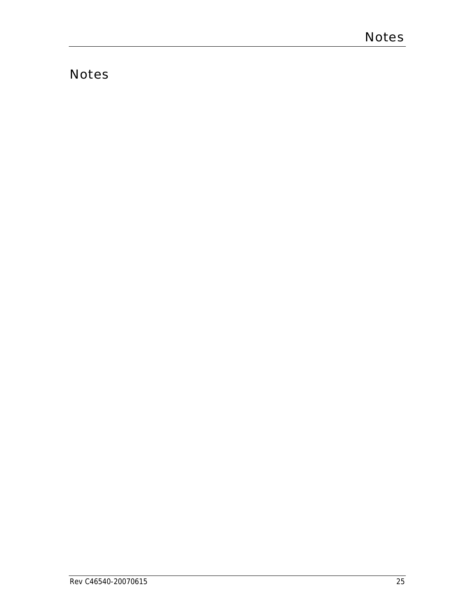# **Notes**